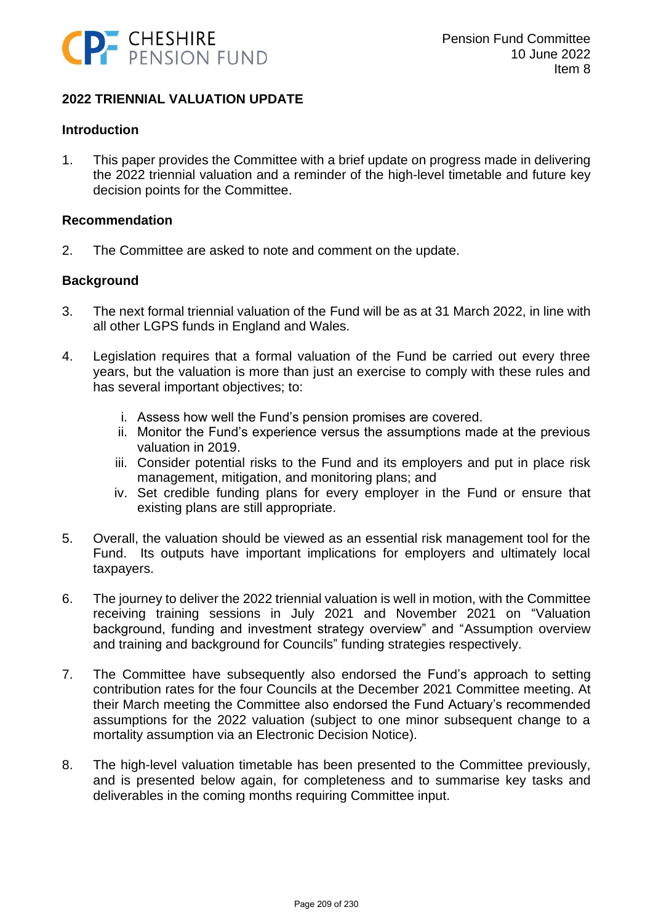

## **2022 TRIENNIAL VALUATION UPDATE**

#### **Introduction**

1. This paper provides the Committee with a brief update on progress made in delivering the 2022 triennial valuation and a reminder of the high-level timetable and future key decision points for the Committee.

#### **Recommendation**

2. The Committee are asked to note and comment on the update.

## **Background**

- 3. The next formal triennial valuation of the Fund will be as at 31 March 2022, in line with all other LGPS funds in England and Wales.
- 4. Legislation requires that a formal valuation of the Fund be carried out every three years, but the valuation is more than just an exercise to comply with these rules and has several important objectives; to:
	- i. Assess how well the Fund's pension promises are covered.
	- ii. Monitor the Fund's experience versus the assumptions made at the previous valuation in 2019.
	- iii. Consider potential risks to the Fund and its employers and put in place risk management, mitigation, and monitoring plans; and
	- iv. Set credible funding plans for every employer in the Fund or ensure that existing plans are still appropriate.
- 5. Overall, the valuation should be viewed as an essential risk management tool for the Fund. Its outputs have important implications for employers and ultimately local taxpayers.
- 6. The journey to deliver the 2022 triennial valuation is well in motion, with the Committee receiving training sessions in July 2021 and November 2021 on "Valuation background, funding and investment strategy overview" and "Assumption overview and training and background for Councils" funding strategies respectively.
- 7. The Committee have subsequently also endorsed the Fund's approach to setting contribution rates for the four Councils at the December 2021 Committee meeting. At their March meeting the Committee also endorsed the Fund Actuary's recommended assumptions for the 2022 valuation (subject to one minor subsequent change to a mortality assumption via an Electronic Decision Notice).
- 8. The high-level valuation timetable has been presented to the Committee previously, and is presented below again, for completeness and to summarise key tasks and deliverables in the coming months requiring Committee input.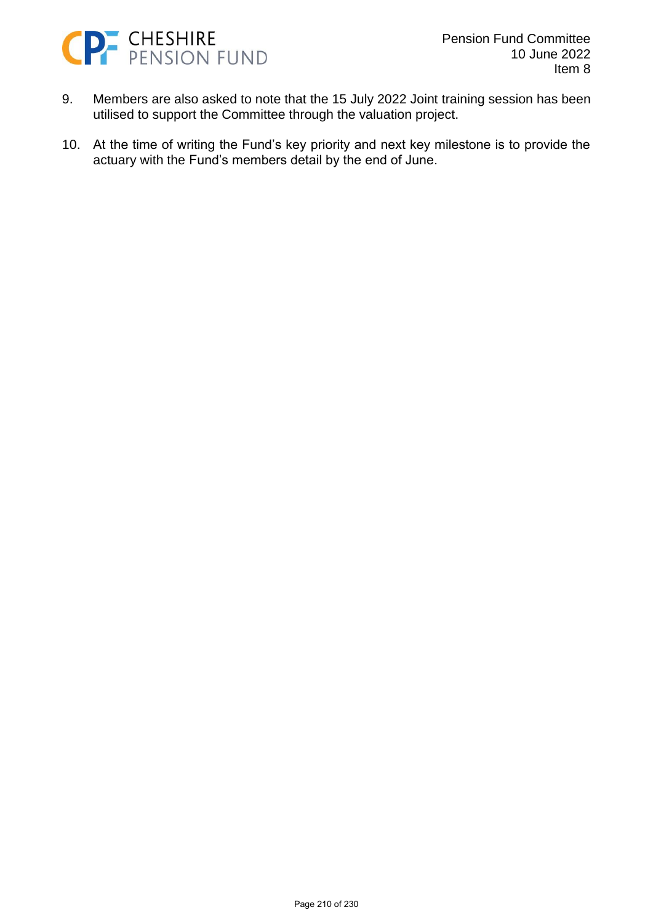

- 9. Members are also asked to note that the 15 July 2022 Joint training session has been utilised to support the Committee through the valuation project.
- 10. At the time of writing the Fund's key priority and next key milestone is to provide the actuary with the Fund's members detail by the end of June.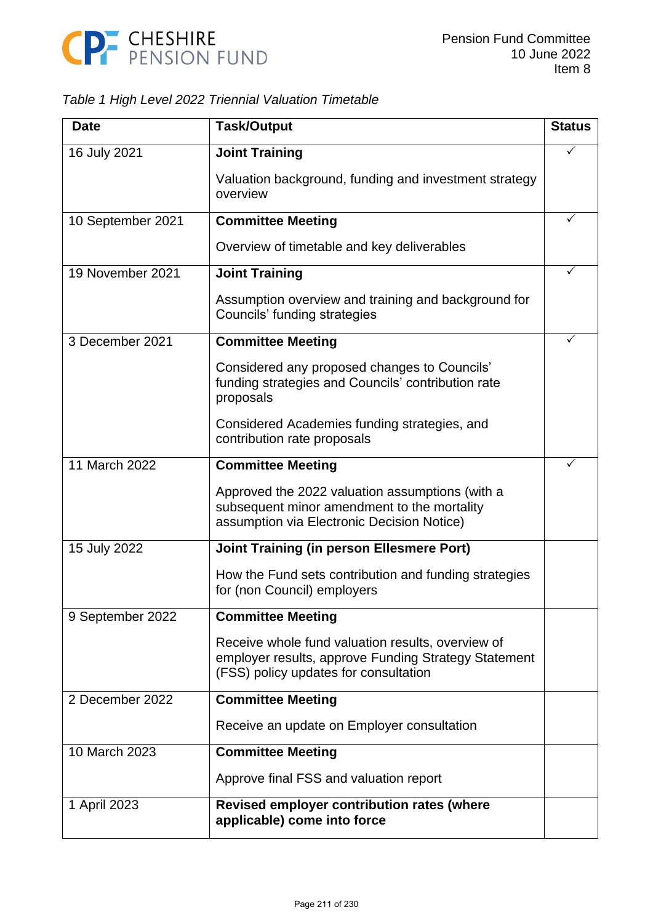

# *Table 1 High Level 2022 Triennial Valuation Timetable*

| <b>Date</b>       | <b>Task/Output</b>                                                                                                                                 | <b>Status</b> |
|-------------------|----------------------------------------------------------------------------------------------------------------------------------------------------|---------------|
| 16 July 2021      | <b>Joint Training</b>                                                                                                                              |               |
|                   | Valuation background, funding and investment strategy<br>overview                                                                                  |               |
| 10 September 2021 | <b>Committee Meeting</b>                                                                                                                           |               |
|                   | Overview of timetable and key deliverables                                                                                                         |               |
| 19 November 2021  | <b>Joint Training</b>                                                                                                                              | ✓             |
|                   | Assumption overview and training and background for<br>Councils' funding strategies                                                                |               |
| 3 December 2021   | <b>Committee Meeting</b>                                                                                                                           |               |
|                   | Considered any proposed changes to Councils'<br>funding strategies and Councils' contribution rate<br>proposals                                    |               |
|                   | Considered Academies funding strategies, and<br>contribution rate proposals                                                                        |               |
| 11 March 2022     | <b>Committee Meeting</b>                                                                                                                           |               |
|                   | Approved the 2022 valuation assumptions (with a<br>subsequent minor amendment to the mortality<br>assumption via Electronic Decision Notice)       |               |
| 15 July 2022      | <b>Joint Training (in person Ellesmere Port)</b>                                                                                                   |               |
|                   | How the Fund sets contribution and funding strategies<br>for (non Council) employers                                                               |               |
| 9 September 2022  | <b>Committee Meeting</b>                                                                                                                           |               |
|                   | Receive whole fund valuation results, overview of<br>employer results, approve Funding Strategy Statement<br>(FSS) policy updates for consultation |               |
| 2 December 2022   | <b>Committee Meeting</b>                                                                                                                           |               |
|                   | Receive an update on Employer consultation                                                                                                         |               |
| 10 March 2023     | <b>Committee Meeting</b>                                                                                                                           |               |
|                   | Approve final FSS and valuation report                                                                                                             |               |
| 1 April 2023      | <b>Revised employer contribution rates (where</b><br>applicable) come into force                                                                   |               |